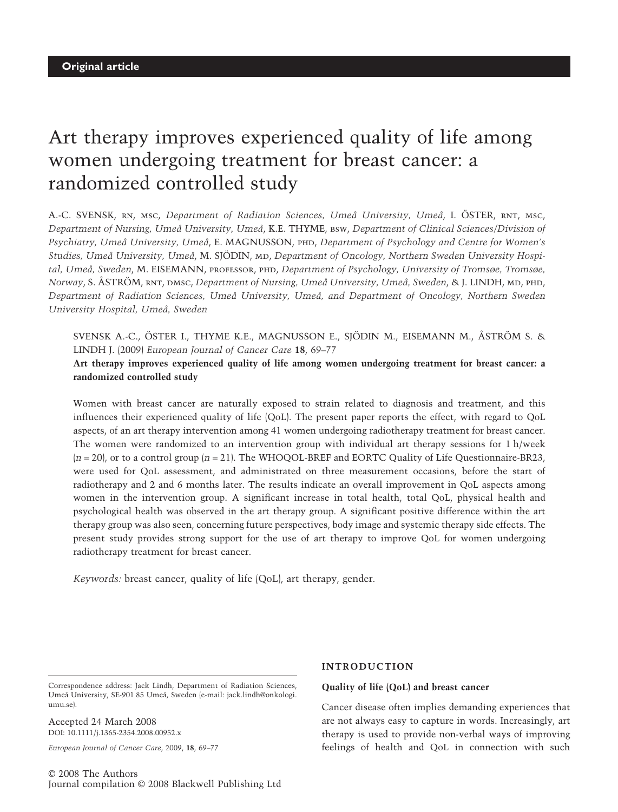# Art therapy improves experienced quality of life among women undergoing treatment for breast cancer: a randomized controlled study

A.-C. SVENSK, rn, msc, *Department of Radiation Sciences, Umeå University, Umeå*, I. ÖSTER, rnt, msc, *Department of Nursing, Umeå University, Umeå*, K.E. THYME, bsw, *Department of Clinical Sciences/Division of Psychiatry, Umeå University, Umeå*, E. MAGNUSSON, phd, *Department of Psychology and Centre for Women's* Studies, Umeå University, Umeå, M. SJÖDIN, MD, *Department of Oncology, Northern Sweden University Hospital, Umeå, Sweden*, M. EISEMANN, professor, phd, *Department of Psychology, University of Tromsøe, Tromsøe, Norway*, S. ÅSTRÖM, rnt, dmsc, *Department of Nursing, Umeå University, Umeå, Sweden*, & J. LINDH, md, phd, *Department of Radiation Sciences, Umeå University, Umeå, and Department of Oncology, Northern Sweden University Hospital, Umeå, Sweden*

SVENSK A.-C., ÖSTER I., THYME K.E., MAGNUSSON E., SJÖDIN M., EISEMANN M., ÅSTRÖM S. & LINDH J. (2009) *European Journal of Cancer Care* **18**, 69–77

**Art therapy improves experienced quality of life among women undergoing treatment for breast cancer: a randomized controlled study**

Women with breast cancer are naturally exposed to strain related to diagnosis and treatment, and this influences their experienced quality of life (QoL). The present paper reports the effect, with regard to QoL aspects, of an art therapy intervention among 41 women undergoing radiotherapy treatment for breast cancer. The women were randomized to an intervention group with individual art therapy sessions for 1 h/week (*n* = 20), or to a control group (*n* = 21). The WHOQOL-BREF and EORTC Quality of Life Questionnaire-BR23, were used for QoL assessment, and administrated on three measurement occasions, before the start of radiotherapy and 2 and 6 months later. The results indicate an overall improvement in QoL aspects among women in the intervention group. A significant increase in total health, total QoL, physical health and psychological health was observed in the art therapy group. A significant positive difference within the art therapy group was also seen, concerning future perspectives, body image and systemic therapy side effects. The present study provides strong support for the use of art therapy to improve QoL for women undergoing radiotherapy treatment for breast cancer.

*Keywords:* breast cancer, quality of life (QoL), art therapy, gender.

Correspondence address: Jack Lindh, Department of Radiation Sciences, Umeå University, SE-901 85 Umeå, Sweden (e-mail: jack.lindh@onkologi. umu.se).

Accepted 24 March 2008 DOI: 10.1111/j.1365-2354.2008.00952.x

*European Journal of Cancer Care*, 2009, **18**, 69–77

© 2008 The Authors Journal compilation © 2008 Blackwell Publishing Ltd

## **INTRODUCTION**

## **Quality of life (QoL) and breast cancer**

Cancer disease often implies demanding experiences that are not always easy to capture in words. Increasingly, art therapy is used to provide non-verbal ways of improving feelings of health and QoL in connection with such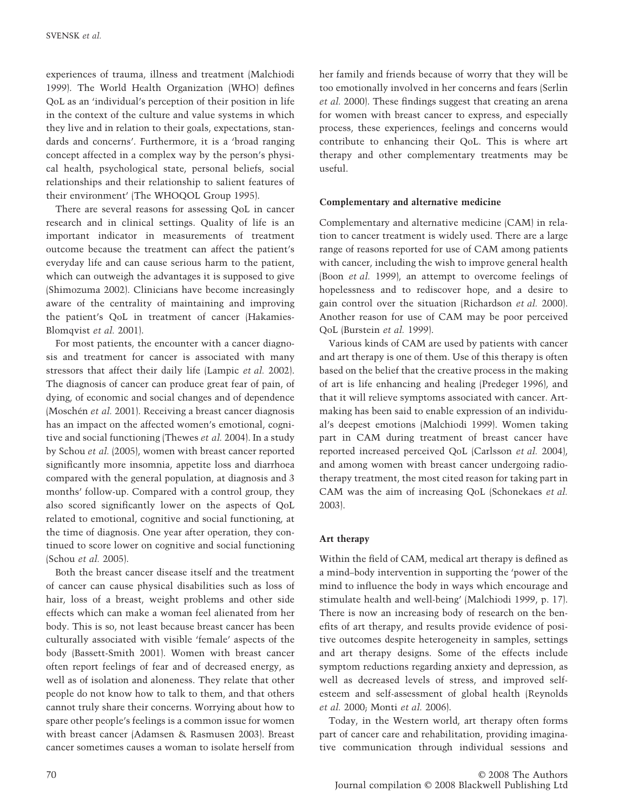experiences of trauma, illness and treatment (Malchiodi 1999). The World Health Organization (WHO) defines QoL as an 'individual's perception of their position in life in the context of the culture and value systems in which they live and in relation to their goals, expectations, standards and concerns'. Furthermore, it is a 'broad ranging concept affected in a complex way by the person's physical health, psychological state, personal beliefs, social relationships and their relationship to salient features of their environment' (The WHOQOL Group 1995).

There are several reasons for assessing QoL in cancer research and in clinical settings. Quality of life is an important indicator in measurements of treatment outcome because the treatment can affect the patient's everyday life and can cause serious harm to the patient, which can outweigh the advantages it is supposed to give (Shimozuma 2002). Clinicians have become increasingly aware of the centrality of maintaining and improving the patient's QoL in treatment of cancer (Hakamies-Blomqvist *et al.* 2001).

For most patients, the encounter with a cancer diagnosis and treatment for cancer is associated with many stressors that affect their daily life (Lampic *et al.* 2002). The diagnosis of cancer can produce great fear of pain, of dying, of economic and social changes and of dependence (Moschén *et al.* 2001). Receiving a breast cancer diagnosis has an impact on the affected women's emotional, cognitive and social functioning (Thewes *et al.* 2004). In a study by Schou *et al.* (2005), women with breast cancer reported significantly more insomnia, appetite loss and diarrhoea compared with the general population, at diagnosis and 3 months' follow-up. Compared with a control group, they also scored significantly lower on the aspects of QoL related to emotional, cognitive and social functioning, at the time of diagnosis. One year after operation, they continued to score lower on cognitive and social functioning (Schou *et al.* 2005).

Both the breast cancer disease itself and the treatment of cancer can cause physical disabilities such as loss of hair, loss of a breast, weight problems and other side effects which can make a woman feel alienated from her body. This is so, not least because breast cancer has been culturally associated with visible 'female' aspects of the body (Bassett-Smith 2001). Women with breast cancer often report feelings of fear and of decreased energy, as well as of isolation and aloneness. They relate that other people do not know how to talk to them, and that others cannot truly share their concerns. Worrying about how to spare other people's feelings is a common issue for women with breast cancer (Adamsen & Rasmusen 2003). Breast cancer sometimes causes a woman to isolate herself from her family and friends because of worry that they will be too emotionally involved in her concerns and fears (Serlin *et al.* 2000). These findings suggest that creating an arena for women with breast cancer to express, and especially process, these experiences, feelings and concerns would contribute to enhancing their QoL. This is where art therapy and other complementary treatments may be useful.

## **Complementary and alternative medicine**

Complementary and alternative medicine (CAM) in relation to cancer treatment is widely used. There are a large range of reasons reported for use of CAM among patients with cancer, including the wish to improve general health (Boon *et al.* 1999), an attempt to overcome feelings of hopelessness and to rediscover hope, and a desire to gain control over the situation (Richardson *et al.* 2000). Another reason for use of CAM may be poor perceived QoL (Burstein *et al.* 1999).

Various kinds of CAM are used by patients with cancer and art therapy is one of them. Use of this therapy is often based on the belief that the creative process in the making of art is life enhancing and healing (Predeger 1996), and that it will relieve symptoms associated with cancer. Artmaking has been said to enable expression of an individual's deepest emotions (Malchiodi 1999). Women taking part in CAM during treatment of breast cancer have reported increased perceived QoL (Carlsson *et al.* 2004), and among women with breast cancer undergoing radiotherapy treatment, the most cited reason for taking part in CAM was the aim of increasing QoL (Schonekaes *et al.* 2003).

## **Art therapy**

Within the field of CAM, medical art therapy is defined as a mind–body intervention in supporting the 'power of the mind to influence the body in ways which encourage and stimulate health and well-being' (Malchiodi 1999, p. 17). There is now an increasing body of research on the benefits of art therapy, and results provide evidence of positive outcomes despite heterogeneity in samples, settings and art therapy designs. Some of the effects include symptom reductions regarding anxiety and depression, as well as decreased levels of stress, and improved selfesteem and self-assessment of global health (Reynolds *et al.* 2000; Monti *et al.* 2006).

Today, in the Western world, art therapy often forms part of cancer care and rehabilitation, providing imaginative communication through individual sessions and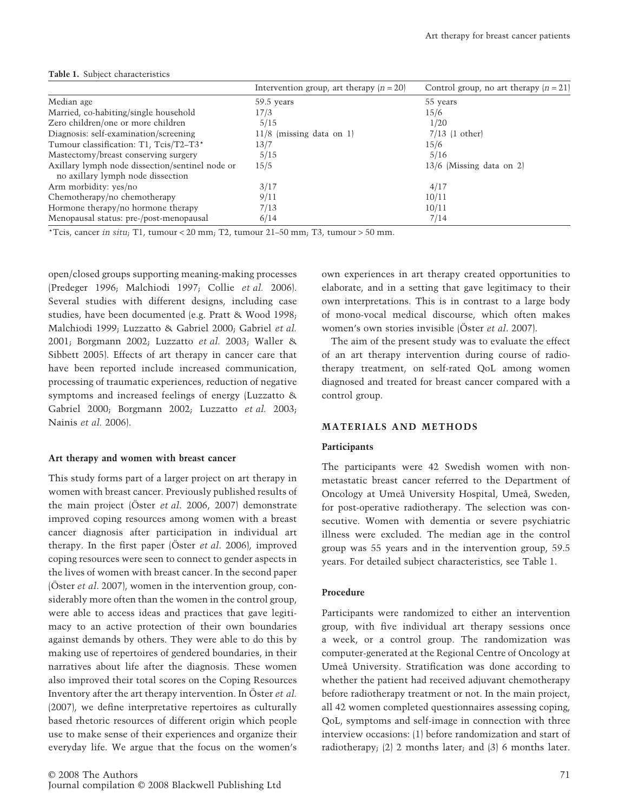|                                                                                      | Intervention group, art therapy $(n = 20)$ | Control group, no art therapy $(n = 21)$ |
|--------------------------------------------------------------------------------------|--------------------------------------------|------------------------------------------|
| Median age                                                                           | 59.5 years                                 | 55 years                                 |
| Married, co-habiting/single household                                                | 17/3                                       | 15/6                                     |
| Zero children/one or more children                                                   | 5/15                                       | 1/20                                     |
| Diagnosis: self-examination/screening                                                | $11/8$ (missing data on 1)                 | $7/13$ (1 other)                         |
| Tumour classification: T1, Tcis/T2-T3*                                               | 13/7                                       | 15/6                                     |
| Mastectomy/breast conserving surgery                                                 | 5/15                                       | 5/16                                     |
| Axillary lymph node dissection/sentinel node or<br>no axillary lymph node dissection | 15/5                                       | $13/6$ (Missing data on 2)               |
| Arm morbidity: yes/no                                                                | 3/17                                       | 4/17                                     |
| Chemotherapy/no chemotherapy                                                         | 9/11                                       | 10/11                                    |
| Hormone therapy/no hormone therapy                                                   | 7/13                                       | 10/11                                    |
| Menopausal status: pre-/post-menopausal                                              | 6/14                                       | 7/14                                     |

#### **Table 1.** Subject characteristics

\*Tcis, cancer *in situ*; T1, tumour < 20 mm; T2, tumour  $21-50$  mm; T3, tumour > 50 mm.

open/closed groups supporting meaning-making processes (Predeger 1996; Malchiodi 1997; Collie *et al.* 2006). Several studies with different designs, including case studies, have been documented (e.g. Pratt & Wood 1998; Malchiodi 1999; Luzzatto & Gabriel 2000; Gabriel *et al.* 2001; Borgmann 2002; Luzzatto *et al.* 2003; Waller & Sibbett 2005). Effects of art therapy in cancer care that have been reported include increased communication, processing of traumatic experiences, reduction of negative symptoms and increased feelings of energy (Luzzatto & Gabriel 2000; Borgmann 2002; Luzzatto *et al.* 2003; Nainis *et al.* 2006).

#### **Art therapy and women with breast cancer**

This study forms part of a larger project on art therapy in women with breast cancer. Previously published results of the main project (Öster *et al*. 2006, 2007) demonstrate improved coping resources among women with a breast cancer diagnosis after participation in individual art therapy. In the first paper (Öster *et al*. 2006), improved coping resources were seen to connect to gender aspects in the lives of women with breast cancer. In the second paper (Öster *et al*. 2007), women in the intervention group, considerably more often than the women in the control group, were able to access ideas and practices that gave legitimacy to an active protection of their own boundaries against demands by others. They were able to do this by making use of repertoires of gendered boundaries, in their narratives about life after the diagnosis. These women also improved their total scores on the Coping Resources Inventory after the art therapy intervention. In Öster *et al.* (2007), we define interpretative repertoires as culturally based rhetoric resources of different origin which people use to make sense of their experiences and organize their everyday life. We argue that the focus on the women's

own experiences in art therapy created opportunities to elaborate, and in a setting that gave legitimacy to their own interpretations. This is in contrast to a large body of mono-vocal medical discourse, which often makes women's own stories invisible (Öster *et al*. 2007).

The aim of the present study was to evaluate the effect of an art therapy intervention during course of radiotherapy treatment, on self-rated QoL among women diagnosed and treated for breast cancer compared with a control group.

## **MATERIALS AND METHODS**

## **Participants**

The participants were 42 Swedish women with nonmetastatic breast cancer referred to the Department of Oncology at Umeå University Hospital, Umeå, Sweden, for post-operative radiotherapy. The selection was consecutive. Women with dementia or severe psychiatric illness were excluded. The median age in the control group was 55 years and in the intervention group, 59.5 years. For detailed subject characteristics, see Table 1.

#### **Procedure**

Participants were randomized to either an intervention group, with five individual art therapy sessions once a week, or a control group. The randomization was computer-generated at the Regional Centre of Oncology at Umeå University. Stratification was done according to whether the patient had received adjuvant chemotherapy before radiotherapy treatment or not. In the main project, all 42 women completed questionnaires assessing coping, QoL, symptoms and self-image in connection with three interview occasions: (1) before randomization and start of radiotherapy; (2) 2 months later; and (3) 6 months later.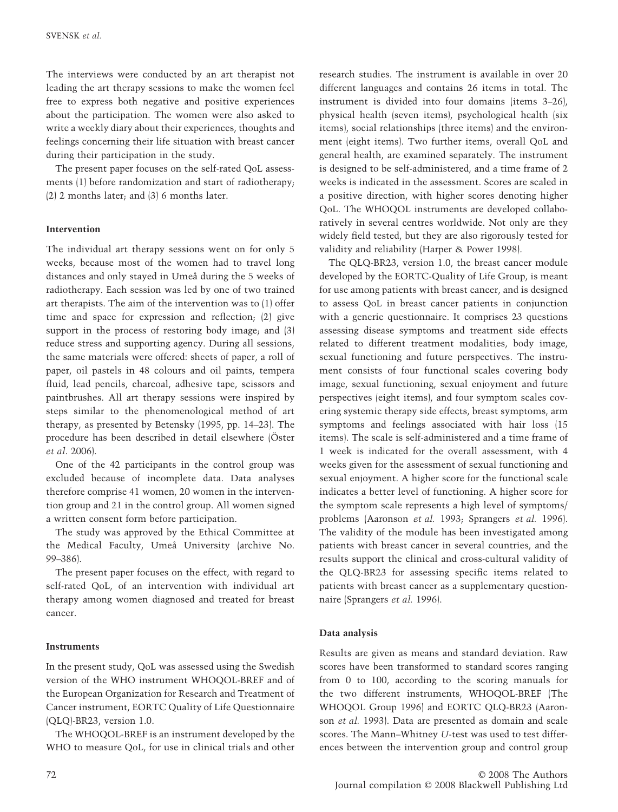The interviews were conducted by an art therapist not leading the art therapy sessions to make the women feel free to express both negative and positive experiences about the participation. The women were also asked to write a weekly diary about their experiences, thoughts and feelings concerning their life situation with breast cancer during their participation in the study.

The present paper focuses on the self-rated QoL assessments (1) before randomization and start of radiotherapy; (2) 2 months later; and (3) 6 months later.

## **Intervention**

The individual art therapy sessions went on for only 5 weeks, because most of the women had to travel long distances and only stayed in Umeå during the 5 weeks of radiotherapy. Each session was led by one of two trained art therapists. The aim of the intervention was to (1) offer time and space for expression and reflection; (2) give support in the process of restoring body image; and  $(3)$ reduce stress and supporting agency. During all sessions, the same materials were offered: sheets of paper, a roll of paper, oil pastels in 48 colours and oil paints, tempera fluid, lead pencils, charcoal, adhesive tape, scissors and paintbrushes. All art therapy sessions were inspired by steps similar to the phenomenological method of art therapy, as presented by Betensky (1995, pp. 14–23). The procedure has been described in detail elsewhere (Öster *et al*. 2006).

One of the 42 participants in the control group was excluded because of incomplete data. Data analyses therefore comprise 41 women, 20 women in the intervention group and 21 in the control group. All women signed a written consent form before participation.

The study was approved by the Ethical Committee at the Medical Faculty, Umeå University (archive No. 99–386).

The present paper focuses on the effect, with regard to self-rated QoL, of an intervention with individual art therapy among women diagnosed and treated for breast cancer.

## **Instruments**

In the present study, QoL was assessed using the Swedish version of the WHO instrument WHOQOL-BREF and of the European Organization for Research and Treatment of Cancer instrument, EORTC Quality of Life Questionnaire (QLQ)-BR23, version 1.0.

The WHOQOL-BREF is an instrument developed by the WHO to measure QoL, for use in clinical trials and other research studies. The instrument is available in over 20 different languages and contains 26 items in total. The instrument is divided into four domains (items 3–26), physical health (seven items), psychological health (six items), social relationships (three items) and the environment (eight items). Two further items, overall QoL and general health, are examined separately. The instrument is designed to be self-administered, and a time frame of 2 weeks is indicated in the assessment. Scores are scaled in a positive direction, with higher scores denoting higher QoL. The WHOQOL instruments are developed collaboratively in several centres worldwide. Not only are they widely field tested, but they are also rigorously tested for validity and reliability (Harper & Power 1998).

The QLQ-BR23, version 1.0, the breast cancer module developed by the EORTC-Quality of Life Group, is meant for use among patients with breast cancer, and is designed to assess QoL in breast cancer patients in conjunction with a generic questionnaire. It comprises 23 questions assessing disease symptoms and treatment side effects related to different treatment modalities, body image, sexual functioning and future perspectives. The instrument consists of four functional scales covering body image, sexual functioning, sexual enjoyment and future perspectives (eight items), and four symptom scales covering systemic therapy side effects, breast symptoms, arm symptoms and feelings associated with hair loss (15 items). The scale is self-administered and a time frame of 1 week is indicated for the overall assessment, with 4 weeks given for the assessment of sexual functioning and sexual enjoyment. A higher score for the functional scale indicates a better level of functioning. A higher score for the symptom scale represents a high level of symptoms/ problems (Aaronson *et al.* 1993; Sprangers *et al.* 1996). The validity of the module has been investigated among patients with breast cancer in several countries, and the results support the clinical and cross-cultural validity of the QLQ-BR23 for assessing specific items related to patients with breast cancer as a supplementary questionnaire (Sprangers *et al.* 1996).

## **Data analysis**

Results are given as means and standard deviation. Raw scores have been transformed to standard scores ranging from 0 to 100, according to the scoring manuals for the two different instruments, WHOQOL-BREF (The WHOQOL Group 1996) and EORTC QLQ-BR23 (Aaronson *et al.* 1993). Data are presented as domain and scale scores. The Mann–Whitney *U*-test was used to test differences between the intervention group and control group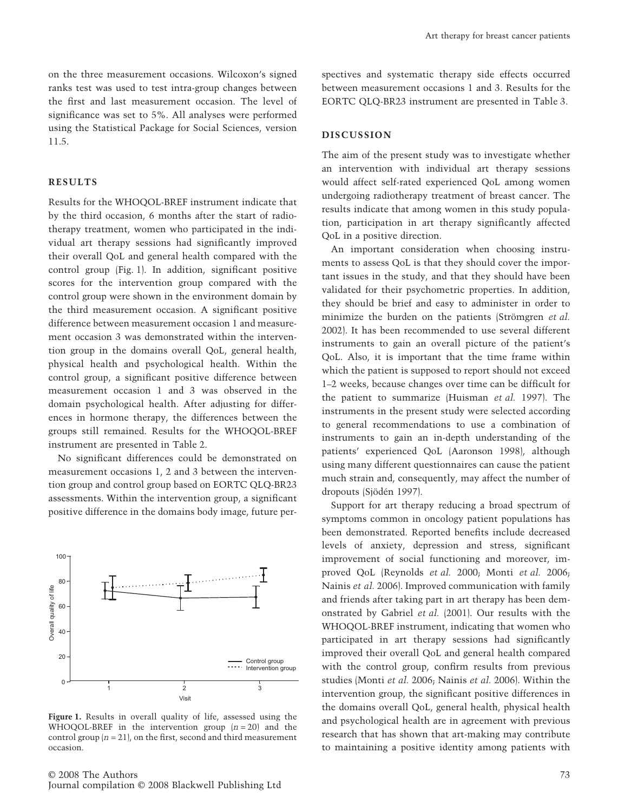on the three measurement occasions. Wilcoxon's signed ranks test was used to test intra-group changes between the first and last measurement occasion. The level of significance was set to 5%. All analyses were performed using the Statistical Package for Social Sciences, version 11.5.

## **RESULTS**

Results for the WHOQOL-BREF instrument indicate that by the third occasion, 6 months after the start of radiotherapy treatment, women who participated in the individual art therapy sessions had significantly improved their overall QoL and general health compared with the control group (Fig. 1). In addition, significant positive scores for the intervention group compared with the control group were shown in the environment domain by the third measurement occasion. A significant positive difference between measurement occasion 1 and measurement occasion 3 was demonstrated within the intervention group in the domains overall QoL, general health, physical health and psychological health. Within the control group, a significant positive difference between measurement occasion 1 and 3 was observed in the domain psychological health. After adjusting for differences in hormone therapy, the differences between the groups still remained. Results for the WHOQOL-BREF instrument are presented in Table 2.

No significant differences could be demonstrated on measurement occasions 1, 2 and 3 between the intervention group and control group based on EORTC QLQ-BR23 assessments. Within the intervention group, a significant positive difference in the domains body image, future per-



**Figure 1.** Results in overall quality of life, assessed using the WHOQOL-BREF in the intervention group  $(n = 20)$  and the control group  $(n = 21)$ , on the first, second and third measurement occasion.

spectives and systematic therapy side effects occurred between measurement occasions 1 and 3. Results for the EORTC QLQ-BR23 instrument are presented in Table 3.

#### **DISCUSSION**

The aim of the present study was to investigate whether an intervention with individual art therapy sessions would affect self-rated experienced QoL among women undergoing radiotherapy treatment of breast cancer. The results indicate that among women in this study population, participation in art therapy significantly affected QoL in a positive direction.

An important consideration when choosing instruments to assess QoL is that they should cover the important issues in the study, and that they should have been validated for their psychometric properties. In addition, they should be brief and easy to administer in order to minimize the burden on the patients (Strömgren *et al.* 2002). It has been recommended to use several different instruments to gain an overall picture of the patient's QoL. Also, it is important that the time frame within which the patient is supposed to report should not exceed 1–2 weeks, because changes over time can be difficult for the patient to summarize (Huisman *et al.* 1997). The instruments in the present study were selected according to general recommendations to use a combination of instruments to gain an in-depth understanding of the patients' experienced QoL (Aaronson 1998), although using many different questionnaires can cause the patient much strain and, consequently, may affect the number of dropouts (Sjödén 1997).

Support for art therapy reducing a broad spectrum of symptoms common in oncology patient populations has been demonstrated. Reported benefits include decreased levels of anxiety, depression and stress, significant improvement of social functioning and moreover, improved QoL (Reynolds *et al.* 2000; Monti *et al.* 2006; Nainis *et al.* 2006). Improved communication with family and friends after taking part in art therapy has been demonstrated by Gabriel *et al.* (2001). Our results with the WHOQOL-BREF instrument, indicating that women who participated in art therapy sessions had significantly improved their overall QoL and general health compared with the control group, confirm results from previous studies (Monti *et al.* 2006; Nainis *et al.* 2006). Within the intervention group, the significant positive differences in the domains overall QoL, general health, physical health and psychological health are in agreement with previous research that has shown that art-making may contribute to maintaining a positive identity among patients with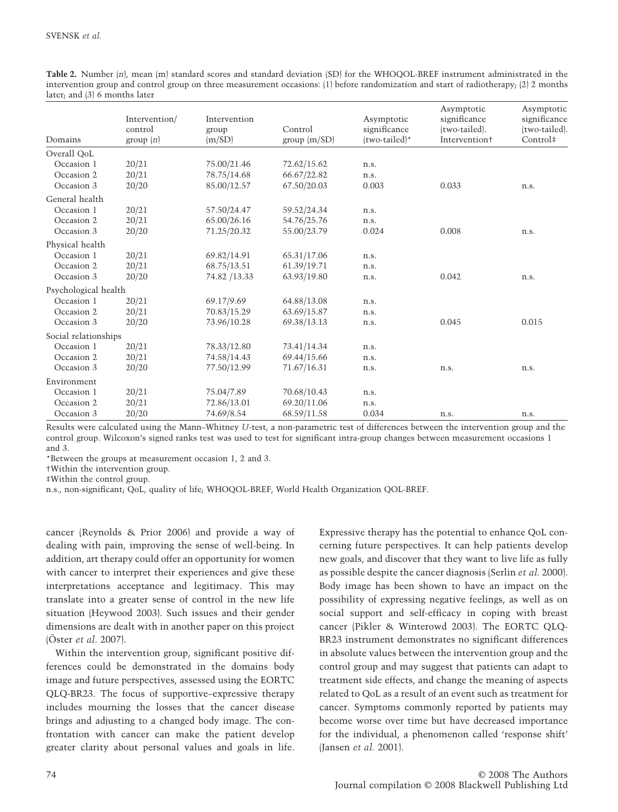| Table 2. Number (n), mean (m) standard scores and standard deviation (SD) for the WHOQOL-BREF instrument administrated in the         |
|---------------------------------------------------------------------------------------------------------------------------------------|
| intervention group and control group on three measurement occasions: (1) before randomization and start of radiotherapy; (2) 2 months |
| later; and (3) 6 months later                                                                                                         |

| Domains              | Intervention/<br>control<br>group $(n)$ | Intervention<br>group<br>(m/SD) | Control<br>group $\langle m/SD \rangle$ | Asymptotic<br>significance<br>(two-tailed)* | Asymptotic<br>significance<br>(two-tailed).<br><b>Intervention+</b> | Asymptotic<br>significance<br>(two-tailed).<br>Control <sup>#</sup> |
|----------------------|-----------------------------------------|---------------------------------|-----------------------------------------|---------------------------------------------|---------------------------------------------------------------------|---------------------------------------------------------------------|
| Overall OoL          |                                         |                                 |                                         |                                             |                                                                     |                                                                     |
| Occasion 1           | 20/21                                   | 75.00/21.46                     | 72.62/15.62                             | n.s.                                        |                                                                     |                                                                     |
| Occasion 2           | 20/21                                   | 78.75/14.68                     | 66.67/22.82                             | n.s.                                        |                                                                     |                                                                     |
| Occasion 3           | 20/20                                   | 85.00/12.57                     | 67.50/20.03                             | 0.003                                       | 0.033                                                               | n.s.                                                                |
| General health       |                                         |                                 |                                         |                                             |                                                                     |                                                                     |
| Occasion 1           | 20/21                                   | 57.50/24.47                     | 59.52/24.34                             | n.s.                                        |                                                                     |                                                                     |
| Occasion 2           | 20/21                                   | 65.00/26.16                     | 54.76/25.76                             | n.s.                                        |                                                                     |                                                                     |
| Occasion 3           | 20/20                                   | 71.25/20.32                     | 55.00/23.79                             | 0.024                                       | 0.008                                                               | n.s.                                                                |
| Physical health      |                                         |                                 |                                         |                                             |                                                                     |                                                                     |
| Occasion 1           | 20/21                                   | 69.82/14.91                     | 65.31/17.06                             | n.s.                                        |                                                                     |                                                                     |
| Occasion 2           | 20/21                                   | 68.75/13.51                     | 61.39/19.71                             | n.s.                                        |                                                                     |                                                                     |
| Occasion 3           | 20/20                                   | 74.82 /13.33                    | 63.93/19.80                             | n.s.                                        | 0.042                                                               | n.s.                                                                |
| Psychological health |                                         |                                 |                                         |                                             |                                                                     |                                                                     |
| Occasion 1           | 20/21                                   | 69.17/9.69                      | 64.88/13.08                             | n.s.                                        |                                                                     |                                                                     |
| Occasion 2           | 20/21                                   | 70.83/15.29                     | 63.69/15.87                             | n.s.                                        |                                                                     |                                                                     |
| Occasion 3           | 20/20                                   | 73.96/10.28                     | 69.38/13.13                             | n.s.                                        | 0.045                                                               | 0.015                                                               |
| Social relationships |                                         |                                 |                                         |                                             |                                                                     |                                                                     |
| Occasion 1           | 20/21                                   | 78.33/12.80                     | 73.41/14.34                             | n.s.                                        |                                                                     |                                                                     |
| Occasion 2           | 20/21                                   | 74.58/14.43                     | 69.44/15.66                             | n.s.                                        |                                                                     |                                                                     |
| Occasion 3           | 20/20                                   | 77.50/12.99                     | 71.67/16.31                             | n.s.                                        | n.s.                                                                | n.s.                                                                |
| Environment          |                                         |                                 |                                         |                                             |                                                                     |                                                                     |
| Occasion 1           | 20/21                                   | 75.04/7.89                      | 70.68/10.43                             | n.s.                                        |                                                                     |                                                                     |
| Occasion 2           | 20/21                                   | 72.86/13.01                     | 69.20/11.06                             | n.s.                                        |                                                                     |                                                                     |
| Occasion 3           | 20/20                                   | 74.69/8.54                      | 68.59/11.58                             | 0.034                                       | n.s.                                                                | n.s.                                                                |

Results were calculated using the Mann–Whitney *U*-test, a non-parametric test of differences between the intervention group and the control group. Wilcoxon's signed ranks test was used to test for significant intra-group changes between measurement occasions 1 and 3.

\*Between the groups at measurement occasion 1, 2 and 3.

†Within the intervention group.

‡Within the control group.

n.s., non-significant; QoL, quality of life; WHOQOL-BREF, World Health Organization QOL-BREF.

cancer (Reynolds & Prior 2006) and provide a way of dealing with pain, improving the sense of well-being. In addition, art therapy could offer an opportunity for women with cancer to interpret their experiences and give these interpretations acceptance and legitimacy. This may translate into a greater sense of control in the new life situation (Heywood 2003). Such issues and their gender dimensions are dealt with in another paper on this project (Öster *et al*. 2007).

Within the intervention group, significant positive differences could be demonstrated in the domains body image and future perspectives, assessed using the EORTC QLQ-BR23. The focus of supportive–expressive therapy includes mourning the losses that the cancer disease brings and adjusting to a changed body image. The confrontation with cancer can make the patient develop greater clarity about personal values and goals in life. Expressive therapy has the potential to enhance QoL concerning future perspectives. It can help patients develop new goals, and discover that they want to live life as fully as possible despite the cancer diagnosis (Serlin *et al.* 2000). Body image has been shown to have an impact on the possibility of expressing negative feelings, as well as on social support and self-efficacy in coping with breast cancer (Pikler & Winterowd 2003). The EORTC QLQ-BR23 instrument demonstrates no significant differences in absolute values between the intervention group and the control group and may suggest that patients can adapt to treatment side effects, and change the meaning of aspects related to QoL as a result of an event such as treatment for cancer. Symptoms commonly reported by patients may become worse over time but have decreased importance for the individual, a phenomenon called 'response shift' (Jansen *et al.* 2001).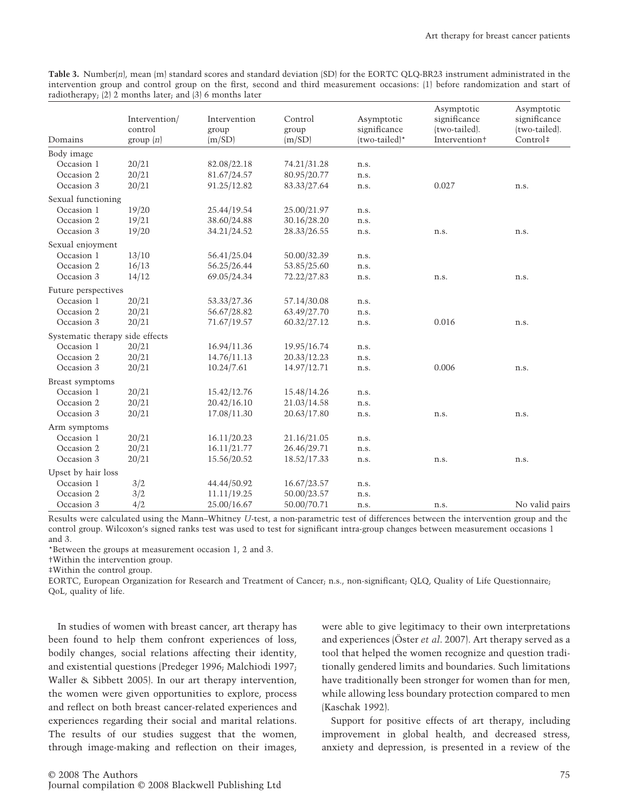**Table 3.** Number(*n*), mean (m) standard scores and standard deviation (SD) for the EORTC QLQ-BR23 instrument administrated in the intervention group and control group on the first, second and third measurement occasions: (1) before randomization and start of radiotherapy; (2) 2 months later; and (3) 6 months later

|                                 | Intervention/<br>control | Intervention<br>group | Control<br>group | Asymptotic<br>significance | Asymptotic<br>significance<br>(two-tailed). | Asymptotic<br>significance<br>(two-tailed). |
|---------------------------------|--------------------------|-----------------------|------------------|----------------------------|---------------------------------------------|---------------------------------------------|
| Domains                         | group(n)                 | (m/SD)                | (m/SD)           | (two-tailed)*              | Intervention <sup>+</sup>                   | Control‡                                    |
| Body image                      |                          |                       |                  |                            |                                             |                                             |
| Occasion 1                      | 20/21                    | 82.08/22.18           | 74.21/31.28      | n.s.                       |                                             |                                             |
| Occasion 2                      | 20/21                    | 81.67/24.57           | 80.95/20.77      | n.s.                       |                                             |                                             |
| Occasion 3                      | 20/21                    | 91.25/12.82           | 83.33/27.64      | n.s.                       | 0.027                                       | n.s.                                        |
| Sexual functioning              |                          |                       |                  |                            |                                             |                                             |
| Occasion 1                      | 19/20                    | 25.44/19.54           | 25.00/21.97      | n.s.                       |                                             |                                             |
| Occasion 2                      | 19/21                    | 38.60/24.88           | 30.16/28.20      | n.s.                       |                                             |                                             |
| Occasion 3                      | 19/20                    | 34.21/24.52           | 28.33/26.55      | n.s.                       | n.s.                                        | n.s.                                        |
| Sexual enjoyment                |                          |                       |                  |                            |                                             |                                             |
| Occasion 1                      | 13/10                    | 56.41/25.04           | 50.00/32.39      | n.s.                       |                                             |                                             |
| Occasion 2                      | 16/13                    | 56.25/26.44           | 53.85/25.60      | n.s.                       |                                             |                                             |
| Occasion 3                      | 14/12                    | 69.05/24.34           | 72.22/27.83      | n.s.                       | n.s.                                        | n.s.                                        |
| Future perspectives             |                          |                       |                  |                            |                                             |                                             |
| Occasion 1                      | 20/21                    | 53.33/27.36           | 57.14/30.08      | n.s.                       |                                             |                                             |
| Occasion 2                      | 20/21                    | 56.67/28.82           | 63.49/27.70      | n.s.                       |                                             |                                             |
| Occasion 3                      | 20/21                    | 71.67/19.57           | 60.32/27.12      | n.s.                       | 0.016                                       | n.s.                                        |
| Systematic therapy side effects |                          |                       |                  |                            |                                             |                                             |
| Occasion 1                      | 20/21                    | 16.94/11.36           | 19.95/16.74      | n.s.                       |                                             |                                             |
| Occasion 2                      | 20/21                    | 14.76/11.13           | 20.33/12.23      | n.s.                       |                                             |                                             |
| Occasion 3                      | 20/21                    | 10.24/7.61            | 14.97/12.71      | n.s.                       | 0.006                                       | n.s.                                        |
| Breast symptoms                 |                          |                       |                  |                            |                                             |                                             |
| Occasion 1                      | 20/21                    | 15.42/12.76           | 15.48/14.26      | n.s.                       |                                             |                                             |
| Occasion 2                      | 20/21                    | 20.42/16.10           | 21.03/14.58      | n.s.                       |                                             |                                             |
| Occasion 3                      | 20/21                    | 17.08/11.30           | 20.63/17.80      | n.s.                       | n.s.                                        | n.s.                                        |
| Arm symptoms                    |                          |                       |                  |                            |                                             |                                             |
| Occasion 1                      | 20/21                    | 16.11/20.23           | 21.16/21.05      | n.s.                       |                                             |                                             |
| Occasion 2                      | 20/21                    | 16.11/21.77           | 26.46/29.71      | n.s.                       |                                             |                                             |
| Occasion 3                      | 20/21                    | 15.56/20.52           | 18.52/17.33      | n.s.                       | n.s.                                        | n.s.                                        |
| Upset by hair loss              |                          |                       |                  |                            |                                             |                                             |
| Occasion 1                      | 3/2                      | 44.44/50.92           | 16.67/23.57      | n.s.                       |                                             |                                             |
| Occasion 2                      | 3/2                      | 11.11/19.25           | 50.00/23.57      | n.s.                       |                                             |                                             |
| Occasion 3                      | 4/2                      | 25.00/16.67           | 50.00/70.71      | n.s.                       | n.s.                                        | No valid pairs                              |

Results were calculated using the Mann–Whitney *U*-test, a non-parametric test of differences between the intervention group and the control group. Wilcoxon's signed ranks test was used to test for significant intra-group changes between measurement occasions 1 and 3.

\*Between the groups at measurement occasion 1, 2 and 3.

†Within the intervention group.

‡Within the control group.

EORTC, European Organization for Research and Treatment of Cancer; n.s., non-significant; QLQ, Quality of Life Questionnaire; QoL, quality of life.

In studies of women with breast cancer, art therapy has been found to help them confront experiences of loss, bodily changes, social relations affecting their identity, and existential questions (Predeger 1996; Malchiodi 1997; Waller & Sibbett 2005). In our art therapy intervention, the women were given opportunities to explore, process and reflect on both breast cancer-related experiences and experiences regarding their social and marital relations. The results of our studies suggest that the women, through image-making and reflection on their images,

were able to give legitimacy to their own interpretations and experiences (Öster *et al*. 2007). Art therapy served as a tool that helped the women recognize and question traditionally gendered limits and boundaries. Such limitations have traditionally been stronger for women than for men, while allowing less boundary protection compared to men (Kaschak 1992).

Support for positive effects of art therapy, including improvement in global health, and decreased stress, anxiety and depression, is presented in a review of the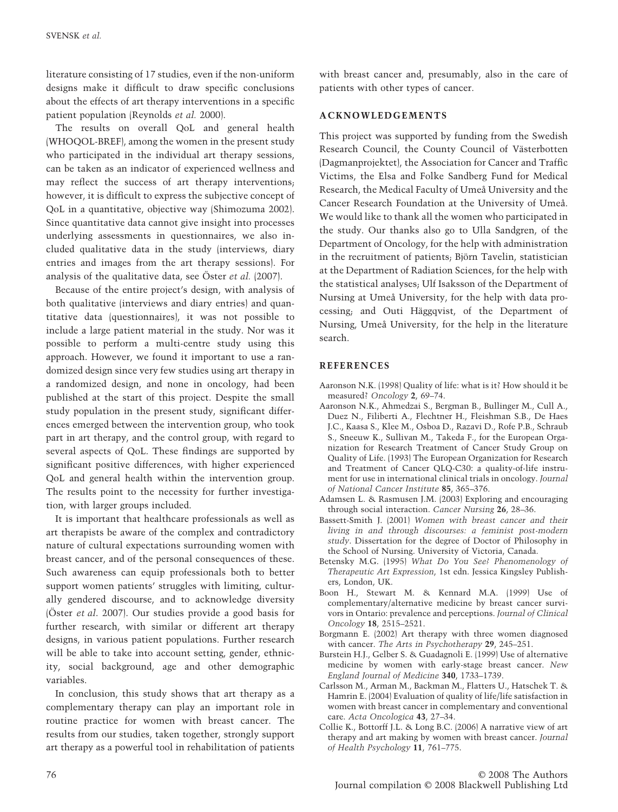literature consisting of 17 studies, even if the non-uniform designs make it difficult to draw specific conclusions about the effects of art therapy interventions in a specific patient population (Reynolds *et al.* 2000).

The results on overall QoL and general health (WHOQOL-BREF), among the women in the present study who participated in the individual art therapy sessions, can be taken as an indicator of experienced wellness and may reflect the success of art therapy interventions; however, it is difficult to express the subjective concept of QoL in a quantitative, objective way (Shimozuma 2002). Since quantitative data cannot give insight into processes underlying assessments in questionnaires, we also included qualitative data in the study (interviews, diary entries and images from the art therapy sessions). For analysis of the qualitative data, see Öster *et al.* (2007).

Because of the entire project's design, with analysis of both qualitative (interviews and diary entries) and quantitative data (questionnaires), it was not possible to include a large patient material in the study. Nor was it possible to perform a multi-centre study using this approach. However, we found it important to use a randomized design since very few studies using art therapy in a randomized design, and none in oncology, had been published at the start of this project. Despite the small study population in the present study, significant differences emerged between the intervention group, who took part in art therapy, and the control group, with regard to several aspects of QoL. These findings are supported by significant positive differences, with higher experienced QoL and general health within the intervention group. The results point to the necessity for further investigation, with larger groups included.

It is important that healthcare professionals as well as art therapists be aware of the complex and contradictory nature of cultural expectations surrounding women with breast cancer, and of the personal consequences of these. Such awareness can equip professionals both to better support women patients' struggles with limiting, culturally gendered discourse, and to acknowledge diversity (Öster *et al*. 2007). Our studies provide a good basis for further research, with similar or different art therapy designs, in various patient populations. Further research will be able to take into account setting, gender, ethnicity, social background, age and other demographic variables.

In conclusion, this study shows that art therapy as a complementary therapy can play an important role in routine practice for women with breast cancer. The results from our studies, taken together, strongly support art therapy as a powerful tool in rehabilitation of patients with breast cancer and, presumably, also in the care of patients with other types of cancer.

## **ACKNOWLEDGEMENTS**

This project was supported by funding from the Swedish Research Council, the County Council of Västerbotten (Dagmanprojektet), the Association for Cancer and Traffic Victims, the Elsa and Folke Sandberg Fund for Medical Research, the Medical Faculty of Umeå University and the Cancer Research Foundation at the University of Umeå. We would like to thank all the women who participated in the study. Our thanks also go to Ulla Sandgren, of the Department of Oncology, for the help with administration in the recruitment of patients; Björn Tavelin, statistician at the Department of Radiation Sciences, for the help with the statistical analyses; Ulf Isaksson of the Department of Nursing at Umeå University, for the help with data processing; and Outi Häggqvist, of the Department of Nursing, Umeå University, for the help in the literature search.

## **REFERENCES**

- Aaronson N.K. (1998) Quality of life: what is it? How should it be measured? *Oncology* **2**, 69–74.
- Aaronson N.K., Ahmedzai S., Bergman B., Bullinger M., Cull A., Duez N., Filiberti A., Flechtner H., Fleishman S.B., De Haes J.C., Kaasa S., Klee M., Osboa D., Razavi D., Rofe P.B., Schraub S., Sneeuw K., Sullivan M., Takeda F., for the European Organization for Research Treatment of Cancer Study Group on Quality of Life. (1993) The European Organization for Research and Treatment of Cancer QLQ-C30: a quality-of-life instrument for use in international clinical trials in oncology. *Journal of National Cancer Institute* **85**, 365–376.
- Adamsen L. & Rasmusen J.M. (2003) Exploring and encouraging through social interaction. *Cancer Nursing* **26**, 28–36.
- Bassett-Smith J. (2001) *Women with breast cancer and their living in and through discourses: a feminist post-modern study*. Dissertation for the degree of Doctor of Philosophy in the School of Nursing. University of Victoria, Canada.
- Betensky M.G. (1995) *What Do You See? Phenomenology of Therapeutic Art Expression*, 1st edn. Jessica Kingsley Publishers, London, UK.
- Boon H., Stewart M. & Kennard M.A. (1999) Use of complementary/alternative medicine by breast cancer survivors in Ontario: prevalence and perceptions. *Journal of Clinical Oncology* **18**, 2515–2521.
- Borgmann E. (2002) Art therapy with three women diagnosed with cancer. *The Arts in Psychotherapy* **29**, 245–251.
- Burstein H.J., Gelber S. & Guadagnoli E. (1999) Use of alternative medicine by women with early-stage breast cancer. *New England Journal of Medicine* **340**, 1733–1739.
- Carlsson M., Arman M., Backman M., Flatters U., Hatschek T. & Hamrin E. (2004) Evaluation of quality of life/life satisfaction in women with breast cancer in complementary and conventional care. *Acta Oncologica* **43**, 27–34.
- Collie K., Bottorff J.L. & Long B.C. (2006) A narrative view of art therapy and art making by women with breast cancer. *Journal of Health Psychology* **11**, 761–775.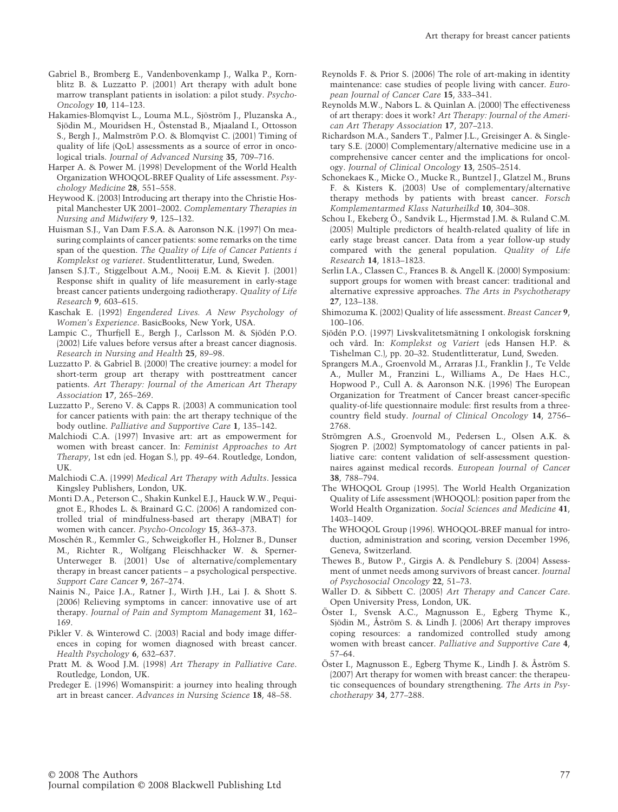- Gabriel B., Bromberg E., Vandenbovenkamp J., Walka P., Kornblitz B. & Luzzatto P. (2001) Art therapy with adult bone marrow transplant patients in isolation: a pilot study. *Psycho-Oncology* **10**, 114–123.
- Hakamies-Blomqvist L., Louma M.L., Sjöström J., Pluzanska A., Sjödin M., Mouridsen H., Östenstad B., Mjaaland I., Ottosson S., Bergh J., Malmström P.O. & Blomqvist C. (2001) Timing of quality of life (QoL) assessments as a source of error in oncological trials. *Journal of Advanced Nursing* **35**, 709–716.
- Harper A. & Power M. (1998) Development of the World Health Organization WHOQOL-BREF Quality of Life assessment. *Psychology Medicine* **28**, 551–558.
- Heywood K. (2003) Introducing art therapy into the Christie Hospital Manchester UK 2001–2002. *Complementary Therapies in Nursing and Midwifery* **9**, 125–132.
- Huisman S.J., Van Dam F.S.A. & Aaronson N.K. (1997) On measuring complaints of cancer patients: some remarks on the time span of the question. *The Quality of Life of Cancer Patients i Komplekst og varieret*. Studentlitteratur, Lund, Sweden.
- Jansen S.J.T., Stiggelbout A.M., Nooij E.M. & Kievit J. (2001) Response shift in quality of life measurement in early-stage breast cancer patients undergoing radiotherapy. *Quality of Life Research* **9**, 603–615.
- Kaschak E. (1992) *Engendered Lives. A New Psychology of Women's Experience*. BasicBooks, New York, USA.
- Lampic C., Thurfjell E., Bergh J., Carlsson M. & Sjödén P.O. (2002) Life values before versus after a breast cancer diagnosis. *Research in Nursing and Health* **25**, 89–98.
- Luzzatto P. & Gabriel B. (2000) The creative journey: a model for short-term group art therapy with posttreatment cancer patients. *Art Therapy: Journal of the American Art Therapy Association* **17**, 265–269.
- Luzzatto P., Sereno V. & Capps R. (2003) A communication tool for cancer patients with pain: the art therapy technique of the body outline. *Palliative and Supportive Care* **1**, 135–142.
- Malchiodi C.A. (1997) Invasive art: art as empowerment for women with breast cancer. In: *Feminist Approaches to Art Therapy*, 1st edn (ed. Hogan S.), pp. 49–64. Routledge, London, UK.
- Malchiodi C.A. (1999) *Medical Art Therapy with Adults*. Jessica Kingsley Publishers, London, UK.
- Monti D.A., Peterson C., Shakin Kunkel E.J., Hauck W.W., Pequignot E., Rhodes L. & Brainard G.C. (2006) A randomized controlled trial of mindfulness-based art therapy (MBAT) for women with cancer. *Psycho-Oncology* **15**, 363–373.
- Moschén R., Kemmler G., Schweigkofler H., Holzner B., Dunser M., Richter R., Wolfgang Fleischhacker W. & Sperner-Unterweger B. (2001) Use of alternative/complementary therapy in breast cancer patients – a psychological perspective. *Support Care Cancer* **9**, 267–274.
- Nainis N., Paice J.A., Ratner J., Wirth J.H., Lai J. & Shott S. (2006) Relieving symptoms in cancer: innovative use of art therapy. *Journal of Pain and Symptom Management* **31**, 162– 169.
- Pikler V. & Winterowd C. (2003) Racial and body image differences in coping for women diagnosed with breast cancer. *Health Psychology* **6**, 632–637.
- Pratt M. & Wood J.M. (1998) *Art Therapy in Palliative Care*. Routledge, London, UK.
- Predeger E. (1996) Womanspirit: a journey into healing through art in breast cancer. *Advances in Nursing Science* **18**, 48–58.
- Reynolds F. & Prior S. (2006) The role of art-making in identity maintenance: case studies of people living with cancer. *European Journal of Cancer Care* **15**, 333–341.
- Reynolds M.W., Nabors L. & Quinlan A. (2000) The effectiveness of art therapy: does it work? *Art Therapy: Journal of the American Art Therapy Association* **17**, 207–213.
- Richardson M.A., Sanders T., Palmer J.L., Greisinger A. & Singletary S.E. (2000) Complementary/alternative medicine use in a comprehensive cancer center and the implications for oncology. *Journal of Clinical Oncology* **13**, 2505–2514.
- Schonekaes K., Micke O., Mucke R., Buntzel J., Glatzel M., Bruns F. & Kisters K. (2003) Use of complementary/alternative therapy methods by patients with breast cancer. *Forsch Komplementarmed Klass Naturheilkd* **10**, 304–308.
- Schou I., Ekeberg Ö., Sandvik L., Hjermstad J.M. & Ruland C.M. (2005) Multiple predictors of health-related quality of life in early stage breast cancer. Data from a year follow-up study compared with the general population. *Quality of Life Research* **14**, 1813–1823.
- Serlin I.A., Classen C., Frances B. & Angell K. (2000) Symposium: support groups for women with breast cancer: traditional and alternative expressive approaches. *The Arts in Psychotherapy* **27**, 123–138.
- Shimozuma K. (2002) Quality of life assessment. *Breast Cancer* **9**, 100–106.
- Sjödén P.O. (1997) Livskvalitetsmätning I onkologisk forskning och vård. In: *Komplekst og Variert* (eds Hansen H.P. & Tishelman C.), pp. 20–32. Studentlitteratur, Lund, Sweden.
- Sprangers M.A., Groenvold M., Arraras J.I., Franklin J., Te Velde A., Muller M., Franzini L., Williams A., De Haes H.C., Hopwood P., Cull A. & Aaronson N.K. (1996) The European Organization for Treatment of Cancer breast cancer-specific quality-of-life questionnaire module: first results from a threecountry field study. *Journal of Clinical Oncology* **14**, 2756– 2768.
- Strömgren A.S., Groenvold M., Pedersen L., Olsen A.K. & Sjogren P. (2002) Symptomatology of cancer patients in palliative care: content validation of self-assessment questionnaires against medical records. *European Journal of Cancer* **38**, 788–794.
- The WHOQOL Group (1995). The World Health Organization Quality of Life assessment (WHOQOL): position paper from the World Health Organization. *Social Sciences and Medicine* **41**, 1403–1409.
- The WHOQOL Group (1996). WHOQOL-BREF manual for introduction, administration and scoring, version December 1996, Geneva, Switzerland.
- Thewes B., Butow P., Girgis A. & Pendlebury S. (2004) Assessment of unmet needs among survivors of breast cancer. *Journal of Psychosocial Oncology* **22**, 51–73.
- Waller D. & Sibbett C. (2005) *Art Therapy and Cancer Care*. Open University Press, London, UK.
- Öster I., Svensk A.C., Magnusson E., Egberg Thyme K., Sjödin M., Åström S. & Lindh J. (2006) Art therapy improves coping resources: a randomized controlled study among women with breast cancer. *Palliative and Supportive Care* **4**, 57–64.
- Öster I., Magnusson E., Egberg Thyme K., Lindh J. & Åström S. (2007) Art therapy for women with breast cancer: the therapeutic consequences of boundary strengthening. *The Arts in Psychotherapy* **34**, 277–288.